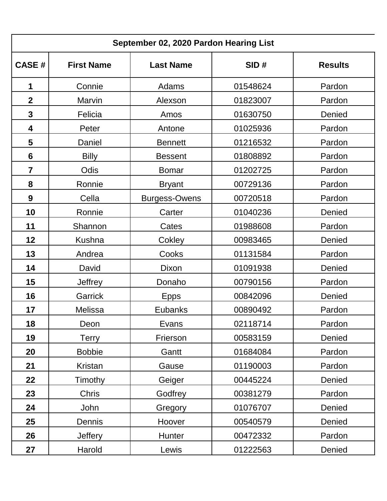| September 02, 2020 Pardon Hearing List |                   |                      |          |                |  |  |  |
|----------------------------------------|-------------------|----------------------|----------|----------------|--|--|--|
| <b>CASE#</b>                           | <b>First Name</b> | <b>Last Name</b>     | SID#     | <b>Results</b> |  |  |  |
| 1                                      | Connie            | Adams                | 01548624 | Pardon         |  |  |  |
| $\overline{2}$                         | Marvin            | Alexson              | 01823007 | Pardon         |  |  |  |
| 3                                      | Felicia           | Amos                 | 01630750 | Denied         |  |  |  |
| 4                                      | Peter             | Antone               | 01025936 | Pardon         |  |  |  |
| 5                                      | Daniel            | <b>Bennett</b>       | 01216532 | Pardon         |  |  |  |
| 6                                      | <b>Billy</b>      | <b>Bessent</b>       | 01808892 | Pardon         |  |  |  |
| $\overline{\mathbf{7}}$                | Odis              | <b>Bomar</b>         | 01202725 | Pardon         |  |  |  |
| 8                                      | Ronnie            | <b>Bryant</b>        | 00729136 | Pardon         |  |  |  |
| 9                                      | Cella             | <b>Burgess-Owens</b> | 00720518 | Pardon         |  |  |  |
| 10                                     | Ronnie            | Carter               | 01040236 | Denied         |  |  |  |
| 11                                     | Shannon           | Cates                | 01988608 | Pardon         |  |  |  |
| 12                                     | <b>Kushna</b>     | Cokley               | 00983465 | Denied         |  |  |  |
| 13                                     | Andrea            | Cooks                | 01131584 | Pardon         |  |  |  |
| 14                                     | David             | Dixon                | 01091938 | Denied         |  |  |  |
| 15                                     | <b>Jeffrey</b>    | Donaho               | 00790156 | Pardon         |  |  |  |
| 16                                     | <b>Garrick</b>    | <b>Epps</b>          | 00842096 | Denied         |  |  |  |
| 17                                     | <b>Melissa</b>    | <b>Eubanks</b>       | 00890492 | Pardon         |  |  |  |
| 18                                     | Deon              | Evans                | 02118714 | Pardon         |  |  |  |
| 19                                     | Terry             | Frierson             | 00583159 | Denied         |  |  |  |
| 20                                     | <b>Bobbie</b>     | Gantt                | 01684084 | Pardon         |  |  |  |
| 21                                     | Kristan           | Gause                | 01190003 | Pardon         |  |  |  |
| 22                                     | Timothy           | Geiger               | 00445224 | Denied         |  |  |  |
| 23                                     | Chris             | Godfrey              | 00381279 | Pardon         |  |  |  |
| 24                                     | John              | Gregory              | 01076707 | Denied         |  |  |  |
| 25                                     | Dennis            | Hoover               | 00540579 | Denied         |  |  |  |
| 26                                     | <b>Jeffery</b>    | Hunter               | 00472332 | Pardon         |  |  |  |
| 27                                     | Harold            | Lewis                | 01222563 | Denied         |  |  |  |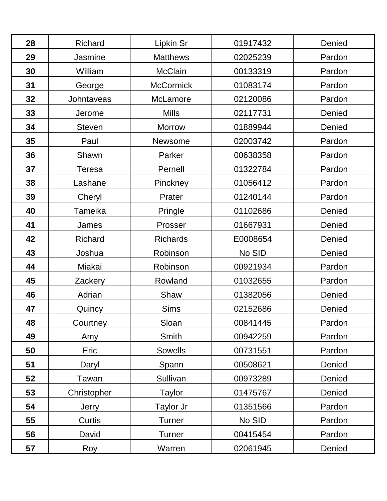| 28 | <b>Richard</b> | Lipkin Sr        | 01917432 | Denied |
|----|----------------|------------------|----------|--------|
| 29 | Jasmine        | <b>Matthews</b>  | 02025239 | Pardon |
| 30 | William        | <b>McClain</b>   | 00133319 | Pardon |
| 31 | George         | <b>McCormick</b> | 01083174 | Pardon |
| 32 | Johntaveas     | McLamore         | 02120086 | Pardon |
| 33 | Jerome         | <b>Mills</b>     | 02117731 | Denied |
| 34 | <b>Steven</b>  | <b>Morrow</b>    | 01889944 | Denied |
| 35 | Paul           | Newsome          | 02003742 | Pardon |
| 36 | Shawn          | Parker           | 00638358 | Pardon |
| 37 | Teresa         | Pernell          | 01322784 | Pardon |
| 38 | Lashane        | Pinckney         | 01056412 | Pardon |
| 39 | Cheryl         | Prater           | 01240144 | Pardon |
| 40 | Tameika        | Pringle          | 01102686 | Denied |
| 41 | James          | Prosser          | 01667931 | Denied |
| 42 | Richard        | <b>Richards</b>  | E0008654 | Denied |
| 43 | Joshua         | Robinson         | No SID   | Denied |
| 44 | Miakai         | Robinson         | 00921934 | Pardon |
| 45 | Zackery        | Rowland          | 01032655 | Pardon |
| 46 | Adrian         | Shaw             | 01382056 | Denied |
| 47 | Quincy         | <b>Sims</b>      | 02152686 | Denied |
| 48 | Courtney       | Sloan            | 00841445 | Pardon |
| 49 | Amy            | Smith            | 00942259 | Pardon |
| 50 | Eric           | Sowells          | 00731551 | Pardon |
| 51 | Daryl          | Spann            | 00508621 | Denied |
| 52 | Tawan          | Sullivan         | 00973289 | Denied |
| 53 | Christopher    | Taylor           | 01475767 | Denied |
| 54 | Jerry          | Taylor Jr        | 01351566 | Pardon |
| 55 | Curtis         | <b>Turner</b>    | No SID   | Pardon |
| 56 | David          | <b>Turner</b>    | 00415454 | Pardon |
| 57 | Roy            | Warren           | 02061945 | Denied |